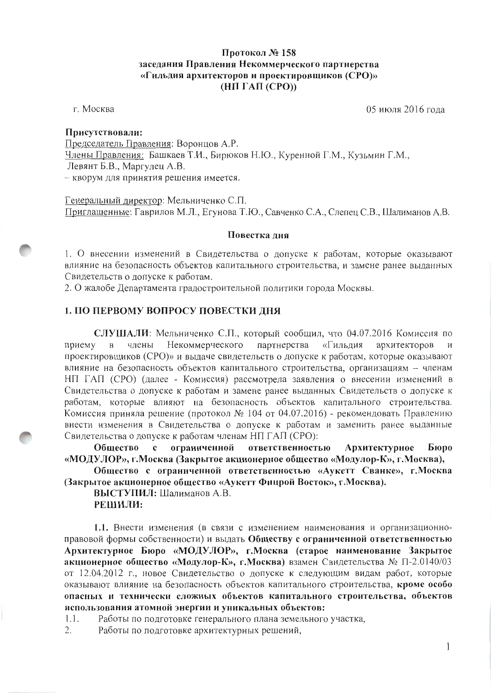# Протокол № 158 заседания Правления Некоммерческого партнерства «Гильдия архитекторов и проектировщиков (СРО)»  $(HII TAI (CPO))$

г. Москва

05 июля 2016 гола

## Присутствовали:

Председатель Правления: Воронцов А.Р. Члены Правления: Башкаев Т.И., Бирюков Н.Ю., Куренной Г.М., Кузьмин Г.М., Левянт Б.В., Маргулец А.В. - кворум для принятия решения имеется.

Генеральный директор: Мельниченко С.П. Приглашенные: Гаврилов М.Л., Егунова Т.Ю., Савченко С.А., Слепец С.В., Шалиманов А.В.

#### Повестка дня

1. О внесении изменений в Свидетельства о допуске к работам, которые оказывают влияние на безопасность объектов капитального строительства, и замене ранее выданных Свидетельств о допуске к работам.

2. О жалобе Департамента градостроительной политики города Москвы.

## 1. ПО ПЕРВОМУ ВОПРОСУ ПОВЕСТКИ ДНЯ

СЛУШАЛИ: Мельниченко С.П., который сообщил, что 04.07.2016 Комиссия по Некоммерческого партнерства «Гильдия архитекторов приему  $\mathbf{B}$ члены  $\overline{u}$ проектировщиков (CPO)» и выдаче свидетельств о допуске к работам, которые оказывают влияние на безопасность объектов капитального строительства, организациям - членам НП ГАП (СРО) (далее - Комиссия) рассмотрела заявления о внесении изменений в Свидетельства о допуске к работам и замене ранее выданных Свидетельств о допуске к работам, которые влияют на безопасность объектов капитального строительства. Комиссия приняла решение (протокол № 104 от 04.07.2016) - рекомендовать Правлению внести изменения в Свидетельства о допуске к работам и заменить ранее выданные Свидетельства о допуске к работам членам НП ГАП (СРО):

ограниченной ответственностью Архитектурное Бюро Обшество  $\mathbf{c}$ «МОДУЛОР», г.Москва (Закрытое акционерное общество «Модулор-К», г.Москва),

Общество с ограниченной ответственностью «Аукетт Сванке», г. Москва (Закрытое акционерное общество «Аукетт Фицрой Восток», г. Москва).

ВЫСТУПИЛ: Шалиманов А.В. РЕШИЛИ:

1.1. Внести изменения (в связи с изменением наименования и организационноправовой формы собственности) и выдать Обществу с ограниченной ответственностью Архитектурное Бюро «МОДУЛОР», г.Москва (старое наименование Закрытое акционерное общество «Модулор-К», г.Москва) взамен Свидетельства № П-2.0140/03 от 12.04.2012 г., новое Свидетельство о допуске к следующим видам работ, которые оказывают влияние на безопасность объектов капитального строительства, кроме особо опасных и технически сложных объектов капитального строительства, объектов использования атомной энергии и уникальных объектов:

Работы по подготовке генерального плана земельного участка,  $1.1.$ 

2. Работы по подготовке архитектурных решений,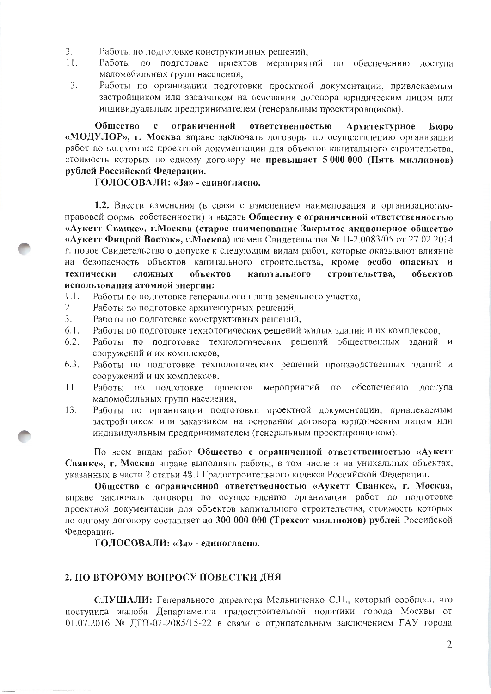- $\mathcal{E}$ Работы по подготовке конструктивных решений.
- $11.$ Работы по подготовке проектов мероприятий по обеспечению доступа маломобильных групп населения,
- 13. Работы по организации подготовки проектной документации, привлекаемым застройщиком или заказчиком на основании договора юридическим лицом или индивидуальным предпринимателем (генеральным проектировщиком).

Обшество  $\mathbf{c}$ ограниченной ответственностью Архитектурное **Бюро** «МОДУЛОР», г. Москва вправе заключать договоры по осуществлению организации работ по подготовке проектной документации для объектов капитального строительства, стоимость которых по одному договору не превышает 5 000 000 (Пять миллионов) рублей Российской Федерации.

#### ГОЛОСОВАЛИ: «За» - единогласно.

1.2. Внести изменения (в связи с изменением наименования и организационноправовой формы собственности) и выдать Обществу с ограниченной ответственностью «Аукетт Сванке», г.Москва (старое наименование Закрытое акционерное общество «Аукетт Фицрой Восток», г. Москва) взамен Свидетельства № П-2.0083/05 от 27.02.2014 г. новое Свидетельство о допуске к следующим видам работ, которые оказывают влияние на безопасность объектов капитального строительства, кроме особо опасных и объектов капитального строительства, объектов технически сложных использования атомной энергии:

- Работы по подготовке генерального плана земельного участка,  $1.1.$
- $2.$ Работы по подготовке архитектурных решений,
- $3.$ Работы по подготовке конструктивных решений,
- Работы по подготовке технологических решений жилых зданий и их комплексов,  $6.1.$
- Работы по подготовке технологических решений общественных зданий и  $6.2.$ сооружений и их комплексов,
- Работы по подготовке технологических решений производственных зданий и 6.3. сооружений и их комплексов,
- $11.$ Работы по подготовке проектов мероприятий по обеспечению доступа маломобильных групп населения,
- Работы по организации подготовки проектной документации, привлекаемым  $13.$ застройщиком или заказчиком на основании договора юридическим лицом или индивидуальным предпринимателем (генеральным проектировщиком).

По всем видам работ Общество с ограниченной ответственностью «Аукетт Сванке», г. Москва вправе выполнять работы, в том числе и на уникальных объектах, указанных в части 2 статьи 48.1 Градостроительного кодекса Российской Федерации.

Общество с ограниченной ответственностью «Аукетт Сванке», г. Москва, вправе заключать договоры по осуществлению организации работ по подготовке проектной документации для объектов капитального строительства, стоимость которых по одному договору составляет до 300 000 000 (Трехсот миллионов) рублей Российской Федерации.

ГОЛОСОВАЛИ: «За» - единогласно.

## 2. ПО ВТОРОМУ ВОПРОСУ ПОВЕСТКИ ДНЯ

СЛУШАЛИ: Генерального директора Мельниченко С.П., который сообщил, что поступила жалоба Департамента градостроительной политики города Москвы от 01.07.2016 № ДГП-02-2085/15-22 в связи с отрицательным заключением ГАУ города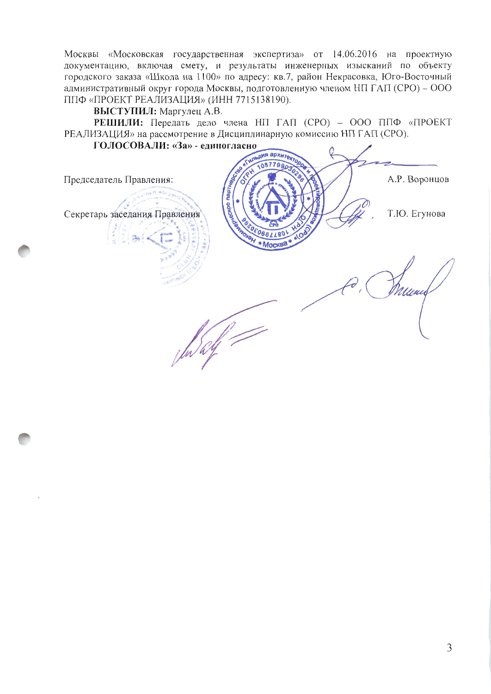Москвы «Московская государственная экспертиза» от 14.06.2016 на проектную документацию, включая смету, и результаты инженерных изысканий по объекту городского заказа «Школа на 1100» по адресу: кв.7, район Некрасовка, Юго-Восточный административный округ города Москвы, подготовленную членом НП ГАП (СРО) - ООО ППФ «ПРОЕКТ РЕАЛИЗАЦИЯ» (ИНН 7715138190).

ВЫСТУПИЛ: Маргулец А.В.

РЕШИЛИ: Передать дело члена НП ГАП (СРО) - ООО ППФ «ПРОЕКТ РЕАЛИЗАЦИЯ» на рассмотрение в Дисциплинарную комиссию НП ГАП (СРО).

ГОЛОСОВАЛИ: «За» - единогласно